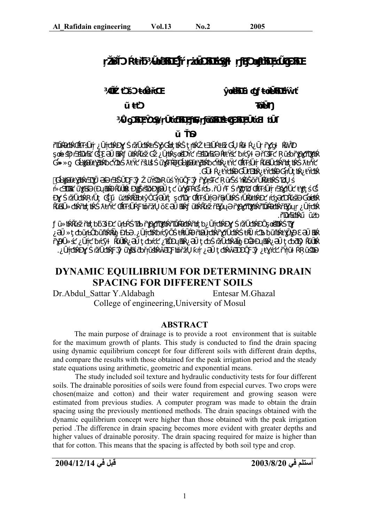

## **DYNAMIC EQUILIBRIUM FOR DETERMINING DRAIN SPACING FOR DIFFERENT SOILS**

Dr.Abdul\_Sattar Y.Aldabagh Entesar M.Ghazal College of engineering,University of Mosul

## **ABSTRACT**

The main purpose of drainage is to provide a root environment that is suitable for the maximum growth of plants. This study is conducted to find the drain spacing using dynamic equilibrium concept for four different soils with different drain depths, and compare the results with those obtained for the peak irrigation period and the steady state equations using arithmetic, geometric and exponential means.

 The study included soil texture and hydraulic conductivity tests for four different soils. The drainable porosities of soils were found from especial curves. Two crops were chosen(maize and cotton) and their water requirement and growing season were estimated from previous studies. A computer program was made to obtain the drain spacing using the previously mentioned methods. The drain spacings obtained with the dynamic equilibrium concept were higher than those obtained with the peak irrigation period .The difference in drain spacing becomes more evident with greater depths and higher values of drainable porosity. The drain spacing required for maize is higher than that for cotton. This means that the spacing is affected by both soil type and crop.

 $2003/8/20$  أَستلم في 2003/8/20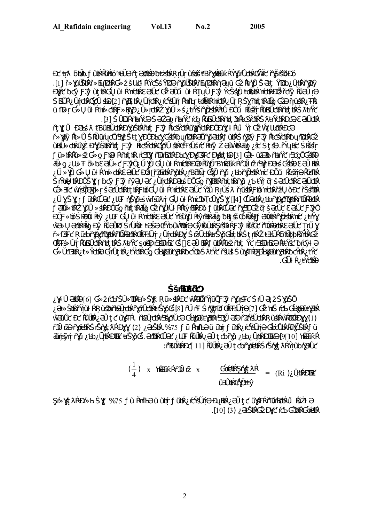, troni tero je obec je obec je obec je obec tero je obec konzulstvo redovine je obec je obec je obec je obec k .[1] O O O U U . [2] U U U . U O O O O UO OU . $[3]$  $\tilde{O}$   $\tilde{O}$   $\tilde{O}$   $\tilde{O}$   $\tilde{O}$   $\tilde{O}$ Ō vertilisti view vertilisti view vertilisti view vertilisti view vertilisti view vertilisti view vertilisti view vertilisti view vertilisti view vertilisti view vertilisti view vertilisti view vertilisti view vertilisti v  $\Box$   $\Box$   $\Box$   $\Box$   $\Box$   $\Box$   $\Box$ OUO O U ¿Ű»ƔŬ Ɠ»ŲũƗŔ 'nŕ»ƈƅŔ ƐƏśŬƈ ƉŐž řƆŗƂƈƅŔ řƔũƅŔ ¿ŗƁ ƌƅŪŗ ƇśƔŬ řƔũ ¿Ƅƅ řƔŨżśƅŔ 'nŕƈ ƉŌ űŔũśžŕŗƏ.ŘũśſƅŔ  $U$   $U$   $U$   $U$   $i$ <sup> $\alpha$ </sup> $i$  $\beta$  $i$ O<sub>v</sub>o $\Box$ U U ÖÖGŞIŞTIĞIQI SUƏ SIQIŞI TAXISI SUƏ SIQUŞI SIQISI SIQUSU. SIQULARI SIQULARI SIQULARI SIQULARI SIQULARI SIQU ƒƏƊŬ»ƅŔ ŽƔũŰ»śƅŔ ƉŌ Ɠƍ řƅŕţƅŔ ƋŨƍ Ɠž řƔŬŕŬƗŔ ŘŧŷŕƂƅŔ Ɖŏ. ƒũƅŔ ƇŬƏƈ řƔŕƎƊ Ɠž ƌŗ šƏƈŬƈ ƐƏśŬƈ ƑƆŷŌ O U Č ŵƏ»ŲƏƈƅŔ ŔŨƍ Ɖŷ ŘũƏŮƊƈ ŚŕŬŔũŧ ŧ ŠƏ Ƈ ƅ ũŴƊƅŕŗƏ.ƓŷŔũŪƅŔ ŞŕśƊƙŔ ƑƆŷ ŔũŝŎƈ řƊŪŔƏƈƅŔ ƐƏśŬƈ ŢŗŰƔ O U  $\blacksquare$  $\Box$ O UO U $\blacksquare$ .ƓŬƗŔ ¿ŧŸƈƅŔƏ ¿Ɣ»ŰƏśƅŔ [6] Ɠ»ž ŕƈƄřŠŬ»ƊƅŔ ŧ໊Ɣƙ Ŗũ»śƅŔ Ɖƈ ŵŔƏƊŌ řŸŗũŌ ƑƆŷ řƔũŗśŦƈ ŚŕŰƏţž ŚƔũŠŌ  $\overline{U}$   $\overline{O}$   $\overline{P}$   $\overline{[8]}$   $\overline{[8]}$   $\overline{[7]}$  $U$   $(1)$ (2)  $\dot{\mathbf{U}}$  .  $\%75$   $\dot{\mathbf{U}}$ Ù Ù  $\dot{U}$   $\dot{U}$   $\dot{U}$   $\dot{U}$   $\dot{U}$   $\dot{U}$   $[9,10]$   $\vdots$   $[11]$   $\dot{U}$  $[11]$  $(\frac{1}{4})$  x x  $\frac{1}{4}$ O O %75 Ŭ Ŭ  $.$ [10] (3) Ù  $x = \overline{\phantom{a} (Ri) \hat{U}}$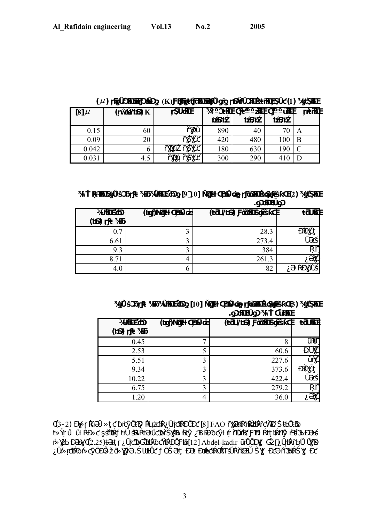| $(\mu)$     |     | (K) |     | $(1)$ $\varnothing$ |     |               |
|-------------|-----|-----|-----|---------------------|-----|---------------|
| $[8]$ $\mu$ | K   |     | ØÔĈ | ÔĈ                  | ÔĈ  |               |
|             |     |     |     |                     |     |               |
| 0.15        | 60  |     | 890 | 40                  | 70  | A             |
| 0.09        | 20  |     | 420 | 480                 | 100 | B             |
| 0.042       | O   |     | 180 | 630                 | 190 | $\mathcal{C}$ |
| 0.031       | 4.5 |     | 300 | 290                 | 410 | D             |

| Ø | Ø    | ØØ | [9.10] | $\bullet$ | $(2)$ $\varnothing$ |
|---|------|----|--------|-----------|---------------------|
|   | Ø    |    |        |           |                     |
|   | 0.7  |    | 3      | 28.3      |                     |
|   | 6.61 |    | 3      | 273.4     |                     |
|   | 9.3  |    | 3      | 384       |                     |
|   | 8.71 |    | 4      | 261.3     |                     |
|   | 4.0  |    | 6      | 82        |                     |

**¾ƍŮšƆƃ ŗƒŧ ¾Ƃƃ ¾ŨŕƃŒ ƇƈƀƆƍ [10] ŇŒƍŧƗŒ ŗƄŮœżƍ ŗƒőœƆƃŒ ŘœŞœƒřšƙŒ (3) ¾ƍťŞƃŒ .ƍƆƈƃŒ ƅŪƍƆ ¾ƚŤ ƇűƀƃŒ ¾ŨŕƃŒ ƇƈƀƆ (ƅƍƒ)ŇŒƍŧƗŒ ŗƄŮœż (ŧƌŬ/ƅƄƆ) ƑőœƆƃŒ ŜœƒřšƙŒ ŧƌŬƃŒ (ƅƄƆ) ŗƒŧ ¾Ƃƃ** 0.45 7 8 ũŔŨŊ 2.53 5 60.6 ƉŕŬƔƊ 5.51 3 227.6 ũŕƔŌ 9.34 3 373.6 ƉŔũƔŪţ 10.22 3 422.4 ŪƏƈś 6.75 3 279.2 ŖŊ

 $1.20$   $4$   $36.0$  U

 $(3-2)$  O O  $\qquad \qquad$  U  $[8]$  FAO ŧ»Ÿŗ űũƗŔ Ɖ»ƈ şśŕƊƅŔ ƒŧŕŰśƁƛŔ ŧƏŧũƈƆƅ řŠƔśƊƄ ŕƂƈŷ ¿ƁƗŔƏ ƀƈŷƗŕŗ řƊũŕƂƈ ƑƊŧƗŔ ŧţƅŔ ŧƊŷ ŕƎśſƆƄ ƉƏƄś O (2.25) U [12] Abdel-kadir 

U  $\mathsf{U} \, \mathsf{O} \, \mathsf{O} \, \mathsf{O} \, \mathsf{O}$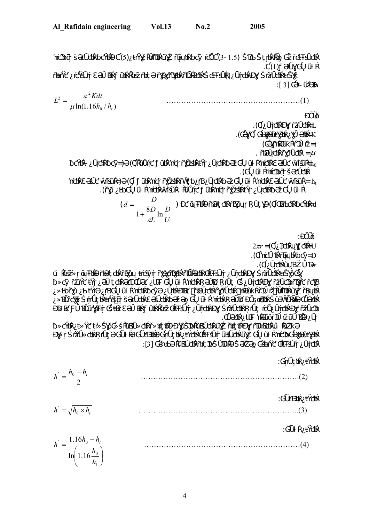|                             |                                                                              |             | $(5)$ Ù                                                                                     |                                                        |   |                         |   | $(3-1.5)$          |                                                                                                                                                                                                                                                                                                                                                                                                                                                                                                                        |                                    |                                                         |
|-----------------------------|------------------------------------------------------------------------------|-------------|---------------------------------------------------------------------------------------------|--------------------------------------------------------|---|-------------------------|---|--------------------|------------------------------------------------------------------------------------------------------------------------------------------------------------------------------------------------------------------------------------------------------------------------------------------------------------------------------------------------------------------------------------------------------------------------------------------------------------------------------------------------------------------------|------------------------------------|---------------------------------------------------------|
|                             | Ù                                                                            |             |                                                                                             |                                                        |   |                         |   | , $\dot{\text{U}}$ |                                                                                                                                                                                                                                                                                                                                                                                                                                                                                                                        | (1)<br>:[ $3$ ]                    |                                                         |
|                             |                                                                              |             |                                                                                             |                                                        |   |                         |   |                    |                                                                                                                                                                                                                                                                                                                                                                                                                                                                                                                        |                                    |                                                         |
| $L^2 = -$                   | $\frac{\pi^2 Kdt}{\mu \ln(1.16h_{0}/h_{t})}$                                 |             |                                                                                             |                                                        |   |                         |   |                    |                                                                                                                                                                                                                                                                                                                                                                                                                                                                                                                        |                                    | $\ldots$ (1)                                            |
|                             | $\mathsf{L} \mathsf{U}$                                                      | $\cdot$ (   | $=$ $( )$<br>$\begin{matrix} 1 \ 1 \end{matrix}$ ( )<br>$\begin{matrix} 1 \ 1 \end{matrix}$ | $(d = \frac{D}{1 + \frac{8D}{\pi L} \ln \frac{D}{U}})$ |   | ÙÙ                      | Ù | $\cdot$ (          | $\dot{U}$ ).<br>$\left( \begin{array}{cc} & \text{if } & \text{if } \\ & & \text{if } & \\ & & & \text{if } \\ & & & & \text{if } \\ & & & & \text{if } \\ & & & & & \text{if } \\ & & & & & \text{if } \\ & & & & & \text{if } \\ & & & & & & \text{if } \\ & & & & & & \text{if } \\ & & & & & & \text{if } \\ & & & & & & & \text{if } \\ & & & & & & & \text{if } \\ & & & & & & & \text{if } \\ & & & & & & & & \text{if } \\ & & & & & & & & \text{if } \\ & & & & & & & & \text{if } \\ & & & & & & & & \$<br>Ù | $\rm \grave{U}$<br>$(\ )$          | =L<br>=K<br>=t<br>= $\mu$<br>$= h_0$<br>$= h_t$<br>$=d$ |
| Õ<br>ÙÕ<br>Õ<br>Õ<br>Õ<br>Õ | Õ<br>Ù<br>ÙÕ<br>Õ                                                            | Ù<br>Ù<br>Õ | د<br>Õ                                                                                      | Ù<br>Õ<br>Õ<br>: [3]                                   | Ù | $\mathfrak s$<br>Ù<br>Ù |   | Ù<br>Ù<br>s<br>Ù   | $\cdot ( )$<br>$\dot{U}()$ .                                                                                                                                                                                                                                                                                                                                                                                                                                                                                           | $2\pi r = ( )\tilde{U}$<br>Ś<br>Ù. | $=\!\mathbf{U}$<br>$=$ D<br>$=r$<br>Ù<br>Ù              |
|                             |                                                                              |             |                                                                                             |                                                        |   |                         |   |                    |                                                                                                                                                                                                                                                                                                                                                                                                                                                                                                                        |                                    |                                                         |
|                             | $h^{\cdot} = \frac{h_0 + h_t}{2}$                                            |             |                                                                                             |                                                        |   |                         |   |                    |                                                                                                                                                                                                                                                                                                                                                                                                                                                                                                                        | $\ddot{\cdot}$                     | Ù                                                       |
|                             | $\hat{h} = \sqrt{h_0 \times h_t}$                                            |             |                                                                                             |                                                        |   |                         |   |                    |                                                                                                                                                                                                                                                                                                                                                                                                                                                                                                                        |                                    | Ù<br>(3)                                                |
|                             |                                                                              |             |                                                                                             |                                                        |   |                         |   |                    |                                                                                                                                                                                                                                                                                                                                                                                                                                                                                                                        | $\ddot{\phantom{a}}$               | Ù                                                       |
|                             | $h^{\prime} = \frac{1.16h_0 - h_t}{\ln \left( 1.16 \frac{h_0}{h_t} \right)}$ |             |                                                                                             |                                                        |   |                         |   |                    |                                                                                                                                                                                                                                                                                                                                                                                                                                                                                                                        |                                    | (4)                                                     |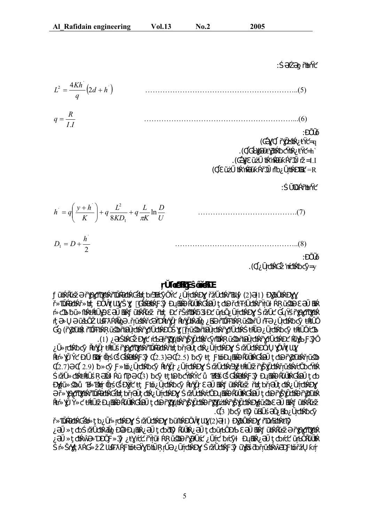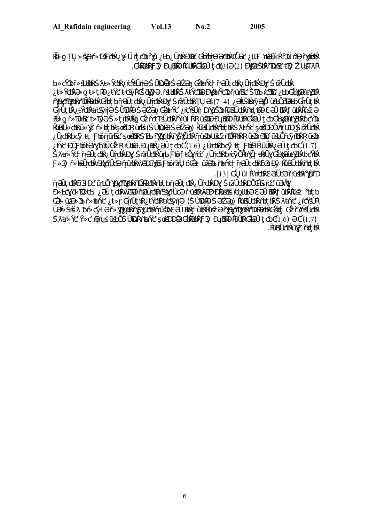| Al_Rafidain engineering                                                                                                                                                                                                                                                                                                                                                                                  | <b>Vol.13</b> | No.2           | 2005                     |       |                        |
|----------------------------------------------------------------------------------------------------------------------------------------------------------------------------------------------------------------------------------------------------------------------------------------------------------------------------------------------------------------------------------------------------------|---------------|----------------|--------------------------|-------|------------------------|
| Õ.Õ ÙÕ<br>Õ                                                                                                                                                                                                                                                                                                                                                                                              | ÙÙ            |                | Ù<br>(3)<br>(2)          |       |                        |
| ÕÕÕÕŨ<br>ÙÕÕÕŨ                                                                                                                                                                                                                                                                                                                                                                                           | Ù             |                | Ù<br>$(7-4)$ $\dot{U}$ . | Ù     |                        |
| $\begin{array}{ccc} &\textrm{ }&\textrm{ }&\textrm{ }\\ \textrm{ }&\textrm{ }&\textrm{ }&\textrm{ }\\ \textrm{ }&\textrm{ }&\textrm{ }&\textrm{ }\\ &\textrm{ }&\textrm{ }&\textrm{ }\\ &\textrm{ }&\textrm{ }&\textrm{ }\\ \textrm{ }&\textrm{ }&\textrm{ }&\textrm{ }\\ \textrm{ }&\textrm{ }&\textrm{ }&\textrm{ }\\ \textrm{ }&\textrm{ }&\textrm{ }&\textrm{ }\\ \textrm{$<br>Ù<br>Õ<br>Ù<br>Õ<br>Õ | Ù             | Ù<br>$(1.6)$ Ù |                          | Ù     | $\mathfrak s$<br>(1.7) |
| $\begin{array}{ccccc} \tilde{O} & \tilde{O} & \tilde{U} \\ - & \tilde{O} & \tilde{O} & \tilde{U}\tilde{O} \\ \tilde{O} & \tilde{O} & \tilde{O} \\ \tilde{O} & \tilde{O} & \end{array}$                                                                                                                                                                                                                   | Ù             | [13]<br>Ù      |                          | (1.6) | Ù<br>(1.7)             |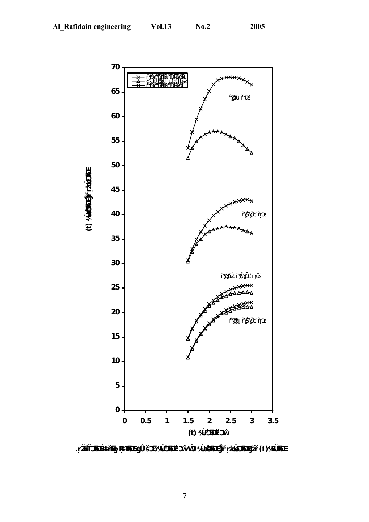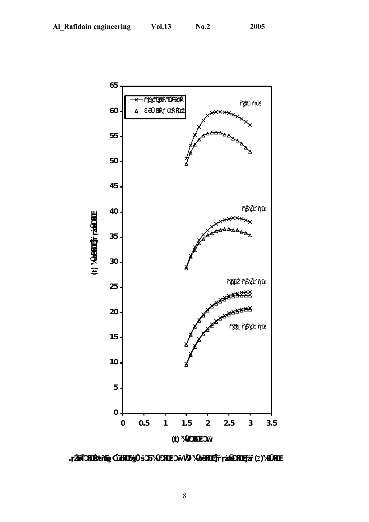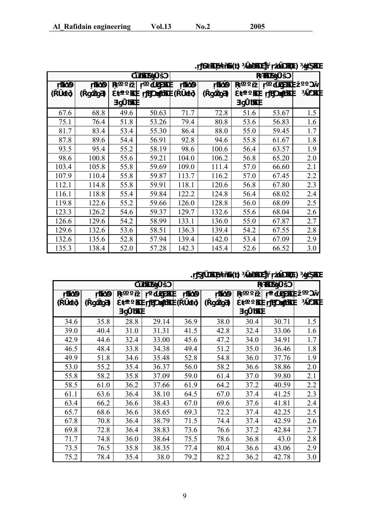|       |       |           |                        |       |       | ( ) $\varnothing$ |                        | $(4)$ $\varnothing$ |
|-------|-------|-----------|------------------------|-------|-------|-------------------|------------------------|---------------------|
|       |       |           | Ø                      |       |       |                   | Ø                      |                     |
|       |       | <b>©Ô</b> | $\widehat{\mathbb{O}}$ |       |       | <b>ÕÔ</b>         | $\widehat{\mathbb{O}}$ | ÔÔ                  |
|       |       | ÔÔ        |                        |       |       | ÔÔ                |                        | Ø                   |
|       |       |           |                        |       |       |                   |                        |                     |
| 67.6  | 68.8  | 49.6      | 50.63                  | 71.7  | 72.8  | 51.6              | 53.67                  | 1.5                 |
| 75.1  | 76.4  | 51.8      | 53.26                  | 79.4  | 80.8  | 53.6              | 56.83                  | 1.6                 |
| 81.7  | 83.4  | 53.4      | 55.30                  | 86.4  | 88.0  | 55.0              | 59.45                  | 1.7                 |
| 87.8  | 89.6  | 54.4      | 56.91                  | 92.8  | 94.6  | 55.8              | 61.67                  | 1.8                 |
| 93.5  | 95.4  | 55.2      | 58.19                  | 98.6  | 100.6 | 56.4              | 63.57                  | 1.9                 |
| 98.6  | 100.8 | 55.6      | 59.21                  | 104.0 | 106.2 | 56.8              | 65.20                  | 2.0                 |
| 103.4 | 105.8 | 55.8      | 59.69                  | 109.0 | 111.4 | 57.0              | 66.60                  | 2.1                 |
| 107.9 | 110.4 | 55.8      | 59.87                  | 113.7 | 116.2 | 57.0              | 67.45                  | 2.2                 |
| 112.1 | 114.8 | 55.8      | 59.91                  | 118.1 | 120.6 | 56.8              | 67.80                  | 2.3                 |
| 116.1 | 118.8 | 55.4      | 59.84                  | 122.2 | 124.8 | 56.4              | 68.02                  | 2.4                 |
| 119.8 | 122.6 | 55.2      | 59.66                  | 126.0 | 128.8 | 56.0              | 68.09                  | 2.5                 |
| 123.3 | 126.2 | 54.6      | 59.37                  | 129.7 | 132.6 | 55.6              | 68.04                  | 2.6                 |
| 126.6 | 129.6 | 54.2      | 58.99                  | 133.1 | 136.0 | 55.0              | 67.87                  | 2.7                 |
| 129.6 | 132.6 | 53.6      | 58.51                  | 136.3 | 139.4 | 54.2              | 67.55                  | 2.8                 |
| 132.6 | 135.6 | 52.8      | 57.94                  | 139.4 | 142.0 | 53.4              | 67.09                  | 2.9                 |
| 135.3 | 138.4 | 52.0      | 57.28                  | 142.3 | 145.4 | 52.6              | 66.52                  | 3.0                 |

|      |      |      |       |      |      | $()$ Ø |       | $(5)$ $\varnothing$ |
|------|------|------|-------|------|------|--------|-------|---------------------|
|      |      |      | Ø     |      |      |        | Ø     |                     |
|      |      | ÕÔ   | Ô     |      |      | ÕÔ     | Ô     | ÕÔ                  |
|      |      | ÔÔ   |       |      |      | ÕÔ     |       | Ø                   |
|      |      |      |       |      |      |        |       |                     |
| 34.6 | 35.8 | 28.8 | 29.14 | 36.9 | 38.0 | 30.4   | 30.71 | 1.5                 |
| 39.0 | 40.4 | 31.0 | 31.31 | 41.5 | 42.8 | 32.4   | 33.06 | 1.6                 |
| 42.9 | 44.6 | 32.4 | 33.00 | 45.6 | 47.2 | 34.0   | 34.91 | 1.7                 |
| 46.5 | 48.4 | 33.8 | 34.38 | 49.4 | 51.2 | 35.0   | 36.46 | 1.8                 |
| 49.9 | 51.8 | 34.6 | 35.48 | 52.8 | 54.8 | 36.0   | 37.76 | 1.9                 |
| 53.0 | 55.2 | 35.4 | 36.37 | 56.0 | 58.2 | 36.6   | 38.86 | 2.0                 |
| 55.8 | 58.2 | 35.8 | 37.09 | 59.0 | 61.4 | 37.0   | 39.80 | 2.1                 |
| 58.5 | 61.0 | 36.2 | 37.66 | 61.9 | 64.2 | 37.2   | 40.59 | 2.2                 |
| 61.1 | 63.6 | 36.4 | 38.10 | 64.5 | 67.0 | 37.4   | 41.25 | 2.3                 |
| 63.4 | 66.2 | 36.6 | 38.43 | 67.0 | 69.6 | 37.6   | 41.81 | 2.4                 |
| 65.7 | 68.6 | 36.6 | 38.65 | 69.3 | 72.2 | 37.4   | 42.25 | 2.5                 |
| 67.8 | 70.8 | 36.4 | 38.79 | 71.5 | 74.4 | 37.4   | 42.59 | 2.6                 |
| 69.8 | 72.8 | 36.4 | 38.83 | 73.6 | 76.6 | 37.2   | 42.84 | 2.7                 |
| 71.7 | 74.8 | 36.0 | 38.64 | 75.5 | 78.6 | 36.8   | 43.0  | 2.8                 |
| 73.5 | 76.5 | 35.8 | 38.35 | 77.4 | 80.4 | 36.6   | 43.06 | 2.9                 |
| 75.2 | 78.4 | 35.4 | 38.0  | 79.2 | 82.2 | 36.2   | 42.78 | 3.0                 |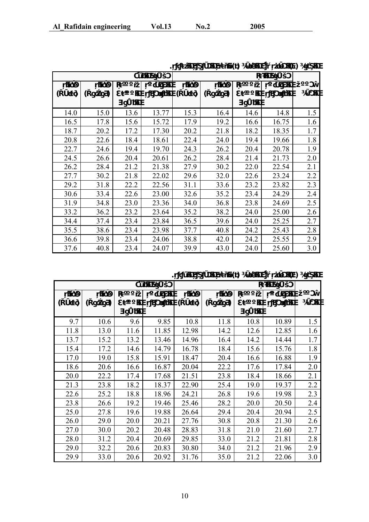|      |      |           |       |      |      | $\left(\ \right) \emptyset$ |       | (6) Ø |
|------|------|-----------|-------|------|------|-----------------------------|-------|-------|
|      |      |           | Ø     |      |      |                             | Ø     |       |
|      |      | <b>OO</b> | Ô     |      |      | ÕÔ                          | Ô     | ÔÔ    |
|      |      | ÔÔ        |       |      |      | ÕÔ                          |       | Ø     |
|      |      |           |       |      |      |                             |       |       |
| 14.0 | 15.0 | 13.6      | 13.77 | 15.3 | 16.4 | 14.6                        | 14.8  | 1.5   |
| 16.5 | 17.8 | 15.6      | 15.72 | 17.9 | 19.2 | 16.6                        | 16.75 | 1.6   |
| 18.7 | 20.2 | 17.2      | 17.30 | 20.2 | 21.8 | 18.2                        | 18.35 | 1.7   |
| 20.8 | 22.6 | 18.4      | 18.61 | 22.4 | 24.0 | 19.4                        | 19.66 | 1.8   |
| 22.7 | 24.6 | 19.4      | 19.70 | 24.3 | 26.2 | 20.4                        | 20.78 | 1.9   |
| 24.5 | 26.6 | 20.4      | 20.61 | 26.2 | 28.4 | 21.4                        | 21.73 | 2.0   |
| 26.2 | 28.4 | 21.2      | 21.38 | 27.9 | 30.2 | 22.0                        | 22.54 | 2.1   |
| 27.7 | 30.2 | 21.8      | 22.02 | 29.6 | 32.0 | 22.6                        | 23.24 | 2.2   |
| 29.2 | 31.8 | 22.2      | 22.56 | 31.1 | 33.6 | 23.2                        | 23.82 | 2.3   |
| 30.6 | 33.4 | 22.6      | 23.00 | 32.6 | 35.2 | 23.4                        | 24.29 | 2.4   |
| 31.9 | 34.8 | 23.0      | 23.36 | 34.0 | 36.8 | 23.8                        | 24.69 | 2.5   |
| 33.2 | 36.2 | 23.2      | 23.64 | 35.2 | 38.2 | 24.0                        | 25.00 | 2.6   |
| 34.4 | 37.4 | 23.4      | 23.84 | 36.5 | 39.6 | 24.0                        | 25.25 | 2.7   |
| 35.5 | 38.6 | 23.4      | 23.98 | 37.7 | 40.8 | 24.2                        | 25.43 | 2.8   |
| 36.6 | 39.8 | 23.4      | 24.06 | 38.8 | 42.0 | 24.2                        | 25.55 | 2.9   |
| 37.6 | 40.8 | 23.4      | 24.07 | 39.9 | 43.0 | 24.0                        | 25.60 | 3.0   |

|      |      |          |       |       |      | $()$ Ø   |       | $(7)$ $\varnothing$ |
|------|------|----------|-------|-------|------|----------|-------|---------------------|
|      |      |          | Ø     |       |      |          | Ø     |                     |
|      |      | ÕÔ<br>ÔÔ | Ô     |       |      | ÕÔ<br>ÕÔ | Ô     | ÕÔ<br>Ø             |
|      |      |          |       |       |      |          |       |                     |
| 9.7  | 10.6 | 9.6      | 9.85  | 10.8  | 11.8 | 10.8     | 10.89 | 1.5                 |
| 11.8 | 13.0 | 11.6     | 11.85 | 12.98 | 14.2 | 12.6     | 12.85 | 1.6                 |
| 13.7 | 15.2 | 13.2     | 13.46 | 14.96 | 16.4 | 14.2     | 14.44 | 1.7                 |
| 15.4 | 17.2 | 14.6     | 14.79 | 16.78 | 18.4 | 15.6     | 15.76 | 1.8                 |
| 17.0 | 19.0 | 15.8     | 15.91 | 18.47 | 20.4 | 16.6     | 16.88 | 1.9                 |
| 18.6 | 20.6 | 16.6     | 16.87 | 20.04 | 22.2 | 17.6     | 17.84 | 2.0                 |
| 20.0 | 22.2 | 17.4     | 17.68 | 21.51 | 23.8 | 18.4     | 18.66 | 2.1                 |
| 21.3 | 23.8 | 18.2     | 18.37 | 22.90 | 25.4 | 19.0     | 19.37 | 2.2                 |
| 22.6 | 25.2 | 18.8     | 18.96 | 24.21 | 26.8 | 19.6     | 19.98 | 2.3                 |
| 23.8 | 26.6 | 19.2     | 19.46 | 25.46 | 28.2 | 20.0     | 20.50 | 2.4                 |
| 25.0 | 27.8 | 19.6     | 19.88 | 26.64 | 29.4 | 20.4     | 20.94 | 2.5                 |
| 26.0 | 29.0 | 20.0     | 20.21 | 27.76 | 30.8 | 20.8     | 21.30 | 2.6                 |
| 27.0 | 30.0 | 20.2     | 20.48 | 28.83 | 31.8 | 21.0     | 21.60 | 2.7                 |
| 28.0 | 31.2 | 20.4     | 20.69 | 29.85 | 33.0 | 21.2     | 21.81 | 2.8                 |
| 29.0 | 32.2 | 20.6     | 20.83 | 30.80 | 34.0 | 21.2     | 21.96 | 2.9                 |
| 29.9 | 33.0 | 20.6     | 20.92 | 31.76 | 35.0 | 21.2     | 22.06 | 3.0                 |